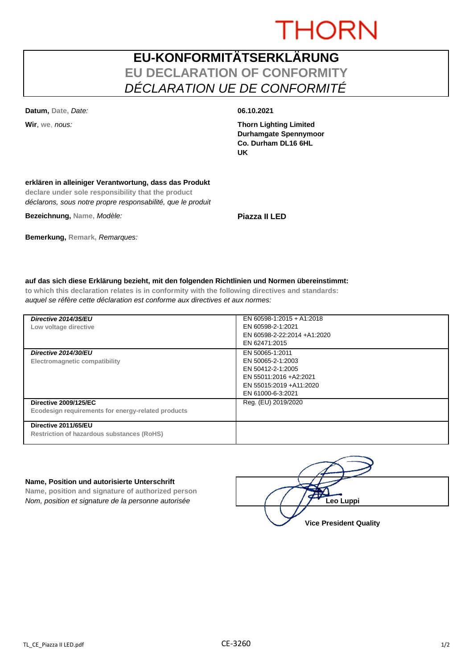# **THORN**

## **EU-KONFORMITÄTSERKLÄRUNG EU DECLARATION OF CONFORMITY** *DÉCLARATION UE DE CONFORMITÉ*

**Datum, Date,** *Date:* **06.10.2021**

**Wir**, **we**, *nous:* **Thorn Lighting Limited Durhamgate Spennymoor Co. Durham DL16 6HL UK**

### **erklären in alleiniger Verantwortung, dass das Produkt**

**declare under sole responsibility that the product** *déclarons, sous notre propre responsabilité, que le produit*

**Bezeichnung, Name,** *Modèle:* **Piazza II LED**

### **Bemerkung, Remark,** *Remarques:*

### **auf das sich diese Erklärung bezieht, mit den folgenden Richtlinien und Normen übereinstimmt:**

**to which this declaration relates is in conformity with the following directives and standards:** *auquel se réfère cette déclaration est conforme aux directives et aux normes:*

| Directive 2014/35/EU<br>Low voltage directive                                      | EN 60598-1:2015 + A1:2018<br>EN 60598-2-1:2021<br>EN 60598-2-22:2014 +A1:2020<br>EN 62471:2015                                       |
|------------------------------------------------------------------------------------|--------------------------------------------------------------------------------------------------------------------------------------|
| Directive 2014/30/EU<br>Electromagnetic compatibility                              | EN 50065-1:2011<br>EN 50065-2-1:2003<br>EN 50412-2-1:2005<br>EN 55011:2016 +A2:2021<br>EN 55015:2019 + A11:2020<br>EN 61000-6-3:2021 |
| <b>Directive 2009/125/EC</b><br>Ecodesign requirements for energy-related products | Reg. (EU) 2019/2020                                                                                                                  |
| Directive 2011/65/EU<br><b>Restriction of hazardous substances (RoHS)</b>          |                                                                                                                                      |

#### **Name, Position und autorisierte Unterschrift**

**Name, position and signature of authorized person** *Nom, position et signature de la personne autorisée* 

| Leo Luppi                     |
|-------------------------------|
| <b>Vice President Quality</b> |